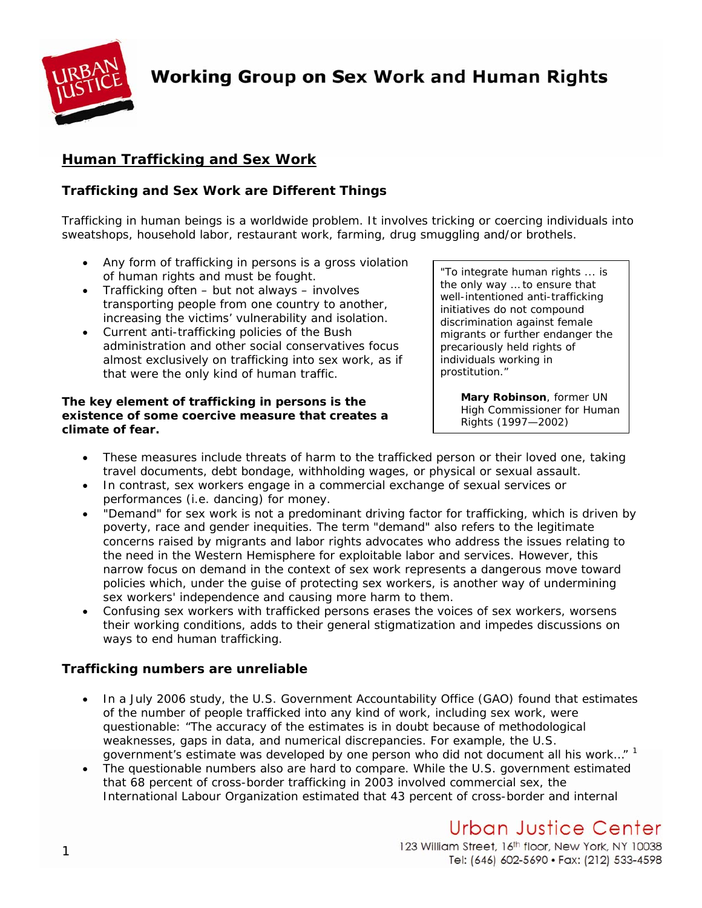

**Working Group on Sex Work and Human Rights** 

# **Human Trafficking and Sex Work**

## *Trafficking and Sex Work are Different Things*

Trafficking in human beings is a worldwide problem. It involves tricking or coercing individuals into sweatshops, household labor, restaurant work, farming, drug smuggling and/or brothels.

- Any form of trafficking in persons is a gross violation of human rights and must be fought.<br>
To integrate human rights ... is
- Trafficking often but not always involves transporting people from one country to another, increasing the victims' vulnerability and isolation.
- Current anti-trafficking policies of the Bush administration and other social conservatives focus almost exclusively on trafficking into sex work, as if that were the only kind of human traffic.

#### **The key element of trafficking in persons is the existence of some coercive measure that creates a climate of fear.**

the only way … to ensure that well-intentioned anti-trafficking initiatives do not compound discrimination against female migrants or further endanger the precariously held rights of individuals working in prostitution."

> *Mary Robinson, former UN High Commissioner for Human Rights (1997—2002)*

- These measures include threats of harm to the trafficked person or their loved one, taking travel documents, debt bondage, withholding wages, or physical or sexual assault.
- In contrast, sex workers engage in a commercial exchange of sexual services or performances (i.e. dancing) for money.
- "Demand" for sex work is not a predominant driving factor for trafficking, which is driven by poverty, race and gender inequities. The term "demand" also refers to the legitimate concerns raised by migrants and labor rights advocates who address the issues relating to the need in the Western Hemisphere for exploitable labor and services. However, this narrow focus on demand in the context of sex work represents a dangerous move toward policies which, under the guise of protecting sex workers, is another way of undermining sex workers' independence and causing more harm to them.
- Confusing sex workers with trafficked persons erases the voices of sex workers, worsens their working conditions, adds to their general stigmatization and impedes discussions on ways to end human trafficking.

### *Trafficking numbers are unreliable*

- In a July 2006 study, the U.S. Government Accountability Office (GAO) found that estimates of the number of people trafficked into any kind of work, including sex work, were questionable: "The accuracy of the estimates is in doubt because of methodological weaknesses, gaps in data, and numerical discrepancies. For example, the U.S. government's estimate was developed by one person who did not document all his work..."  $1$
- The questionable numbers also are hard to compare. While the U.S. government estimated that 68 percent of cross-border trafficking in 2003 involved commercial sex, the International Labour Organization estimated that 43 percent of cross-border and internal